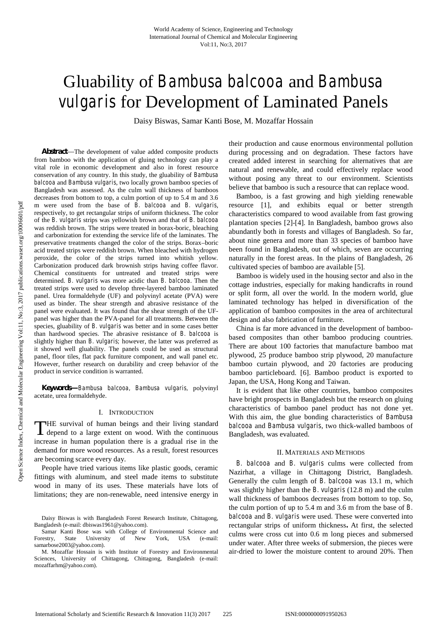# Gluability of *Bambusa balcooa* and *Bambusa vulgaris* for Development of Laminated Panels

Daisy Biswas, Samar Kanti Bose, M. Mozaffar Hossain

*Abstract*—The development of value added composite products from bamboo with the application of gluing technology can play a vital role in economic development and also in forest resource conservation of any country. In this study, the gluability of *Bambusa balcooa* and *Bambusa vulgaris*, two locally grown bamboo species of Bangladesh was assessed. As the culm wall thickness of bamboos decreases from bottom to top, a culm portion of up to 5.4 m and 3.6 m were used from the base of *B. balcooa* and *B. vulgaris*, respectively, to get rectangular strips of uniform thickness. The color of the *B. vulgaris* strips was yellowish brown and that of *B. balcooa* was reddish brown. The strips were treated in borax-boric, bleaching and carbonization for extending the service life of the laminates. The preservative treatments changed the color of the strips. Borax–boric acid treated strips were reddish brown. When bleached with hydrogen peroxide, the color of the strips turned into whitish yellow. Carbonization produced dark brownish strips having coffee flavor. Chemical constituents for untreated and treated strips were determined. *B. vulgaris* was more acidic than *B. balcooa*. Then the treated strips were used to develop three-layered bamboo laminated panel. Urea formaldehyde (UF) and polyvinyl acetate (PVA) were used as binder. The shear strength and abrasive resistance of the panel were evaluated. It was found that the shear strength of the UF panel was higher than the PVA-panel for all treatments. Between the species, gluability of *B. vulgaris* was better and in some cases better than hardwood species*.* The abrasive resistance of *B. balcooa* is slightly higher than *B. vulgaris;* however, the latter was preferred as it showed well gluability. The panels could be used as structural panel, floor tiles, flat pack furniture component, and wall panel etc. However, further research on durability and creep behavior of the product in service condition is warranted.

*Keywords—Bambusa balcooa, Bambusa vulgaris,* polyvinyl acetate, urea formaldehyde.

#### I. INTRODUCTION

**HE** survival of human beings and their living standard THE survival of human beings and their living standard ball<br>depend to a large extent on wood. With the continuous Bar increase in human population there is a gradual rise in the demand for more wood resources. As a result, forest resources are becoming scarce every day.

People have tried various items like plastic goods, ceramic fittings with aluminum, and steel made items to substitute wood in many of its uses. These materials have lots of limitations; they are non-renewable, need intensive energy in

their production and cause enormous environmental pollution during processing and on degradation. These factors have created added interest in searching for alternatives that are natural and renewable, and could effectively replace wood without posing any threat to our environment. Scientists believe that bamboo is such a resource that can replace wood.

Bamboo, is a fast growing and high yielding renewable resource [1], and exhibits equal or better strength characteristics compared to wood available from fast growing plantation species [2]-[4]. In Bangladesh, bamboo grows also abundantly both in forests and villages of Bangladesh. So far, about nine genera and more than 33 species of bamboo have been found in Bangladesh, out of which, seven are occurring naturally in the forest areas. In the plains of Bangladesh, 26 cultivated species of bamboo are available [5].

Bamboo is widely used in the housing sector and also in the cottage industries, especially for making handicrafts in round or split form, all over the world. In the modern world, glue laminated technology has helped in diversification of the application of bamboo composites in the area of architectural design and also fabrication of furniture.

China is far more advanced in the development of bamboo based composites than other bamboo producing countries. There are about 100 factories that manufacture bamboo mat plywood, 25 produce bamboo strip plywood, 20 manufacture bamboo curtain plywood, and 20 factories are producing bamboo particleboard. [6]. Bamboo product is exported to Japan, the USA, Hong Kong and Taiwan.

It is evident that like other countries, bamboo composites have bright prospects in Bangladesh but the research on gluing characteristics of bamboo panel product has not done yet. With this aim, the glue bonding characteristics of *Bambusa balcooa* and *Bambusa vulgaris*, two thick-walled bamboos of Bangladesh, was evaluated.

#### II. MATERIALS AND METHODS

*B. balcooa* and *B. vulgaris* culms were collected from Nazirhat, a village in Chittagong District, Bangladesh. Generally the culm length of *B. balcooa* was 13.1 m, which was slightly higher than the *B. vulgaris* (12.8 m) and the culm wall thickness of bamboos decreases from bottom to top. So, the culm portion of up to 5.4 m and 3.6 m from the base of *B. balcooa* and *B. vulgaris* were used*.* These were converted into rectangular strips of uniform thickness**.** At first, the selected culms were cross cut into 0.6 m long pieces and submersed under water. After three weeks of submersion, the pieces were air-dried to lower the moisture content to around 20%. Then

Daisy Biswas is with Bangladesh Forest Research Institute, Chittagong, Bangladesh (e-mail: dbiswas1961@yahoo.com).

Samar Kanti Bose was with College of Environmental Science and Forestry, State University of New York, USA (e-mail: samarbose2003@yahoo.com).

M. Mozaffar Hossain is with Institute of Forestry and Environmental Sciences, University of Chittagong, Chittagong, Bangladesh (e-mail: mozaffarhm@yahoo.com).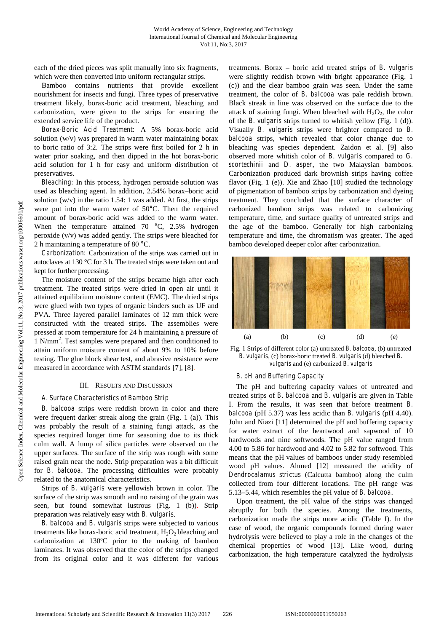each of the dried pieces was split manually into six fragments, which were then converted into uniform rectangular strips.

Bamboo contains nutrients that provide excellent nourishment for insects and fungi. Three types of preservative treatment likely, borax-boric acid treatment, bleaching and carbonization, were given to the strips for ensuring the extended service life of the product.

*Borax-Boric Acid Treatment:* A 5% borax-boric acid solution (w/v) was prepared in warm water maintaining borax to boric ratio of 3:2. The strips were first boiled for 2 h in water prior soaking, and then dipped in the hot borax-boric acid solution for 1 h for easy and uniform distribution of preservatives.

*Bleaching:* In this process, hydrogen peroxide solution was used as bleaching agent. In addition, 2.54% borax–boric acid solution  $(w/v)$  in the ratio 1.54: 1 was added. At first, the strips were put into the warm water of 50**°**C. Then the required amount of borax-boric acid was added to the warm water. When the temperature attained 70 **°**C, 2.5% hydrogen peroxide (v/v) was added gently. The strips were bleached for 2 h maintaining a temperature of 80 **°**C.

*Carbonization:* Carbonization of the strips was carried out in autoclaves at 130 °C for 3 h. The treated strips were taken out and kept for further processing.

The moisture content of the strips became high after each treatment. The treated strips were dried in open air until it attained equilibrium moisture content (EMC). The dried strips were glued with two types of organic binders such as UF and PVA. Three layered parallel laminates of 12 mm thick were constructed with the treated strips. The assemblies were pressed at room temperature for 24 h maintaining a pressure of 1 N/mm<sup>2</sup> . Test samples were prepared and then conditioned to attain uniform moisture content of about 9% to 10% before testing. The glue block shear test, and abrasive resistance were measured in accordance with ASTM standards [7], [8].

#### III. RESULTS AND DISCUSSION

## *A. Surface Characteristics of Bamboo Strip*

*B. balcooa* strips were reddish brown in color and there were frequent darker streak along the grain (Fig. 1 (a)). This was probably the result of a staining fungi attack, as the species required longer time for seasoning due to its thick culm wall. A lump of silica particles were observed on the upper surfaces. The surface of the strip was rough with some raised grain near the node. Strip preparation was a bit difficult for *B. balcooa*. The processing difficulties were probably related to the anatomical characteristics.

Strips of *B. vulgaris* were yellowish brown in color. The surface of the strip was smooth and no raising of the grain was seen, but found somewhat lustrous (Fig. 1 (b)). Strip preparation was relatively easy with *B. vulgaris*.

*B. balcooa* and *B. vulgaris* strips were subjected to various treatments like borax-boric acid treatment,  $H_2O_2$  bleaching and carbonization at 130ºC prior to the making of bamboo laminates. It was observed that the color of the strips changed from its original color and it was different for various treatments. Borax – boric acid treated strips of *B. vulgaris* were slightly reddish brown with bright appearance (Fig. 1 (c)) and the clear bamboo grain was seen. Under the same treatment, the color of *B. balcooa* was pale reddish brown. Black streak in line was observed on the surface due to the attack of staining fungi. When bleached with  $H_2O_2$ , the color of the *B. vulgaris* strips turned to whitish yellow (Fig. 1 (d)). Visually *B. vulgaris* strips were brighter compared to *B. balcooa* strips, which revealed that color change due to bleaching was species dependent. Zaidon et al. [9] also observed more whitish color of *B*. *vulgaris* compared to *G. scortechinii* and *D. asper*, the two Malaysian bamboos. Carbonization produced dark brownish strips having coffee flavor (Fig. 1 (e)). Xie and Zhao [10] studied the technology of pigmentation of bamboo strips by carbonization and dyeing treatment. They concluded that the surface character of carbonized bamboo strips was related to carbonizing temperature, time, and surface quality of untreated strips and the age of the bamboo. Generally for high carbonizing temperature and time, the chromatism was greater. The aged bamboo developed deeper color after carbonization.



Fig. 1 Strips of different color (a) untreated *B. balcooa*, (b) untreated *B. vulgaris*, (c) borax-boric treated *B. vulgaris* (d) bleached *B. vulgaris* and (e) carbonized *B. vulgaris*

# *B. pH and Buffering Capacity*

The pH and buffering capacity values of untreated and treated strips of *B. balcooa* and *B. vulgaris* are given in Table I. From the results, it was seen that before treatment *B. balcooa* (pH 5.37) was less acidic than *B. vulgaris* (pH 4.40). John and Niazi [11] determined the pH and buffering capacity for water extract of the heartwood and sapwood of 10 hardwoods and nine softwoods. The pH value ranged from 4.00 to 5.86 for hardwood and 4.02 to 5.82 for softwood. This means that the pH values of bamboos under study resembled wood pH values. Ahmed [12] measured the acidity of *Dendrocalamus strictus* (Calcutta bamboo) along the culm collected from four different locations. The pH range was 5.13–5.44, which resembles the pH value of *B. balcooa*.

Upon treatment, the pH value of the strips was changed abruptly for both the species. Among the treatments, carbonization made the strips more acidic (Table I). In the case of wood, the organic compounds formed during water hydrolysis were believed to play a role in the changes of the chemical properties of wood [13]. Like wood, during carbonization, the high temperature catalyzed the hydrolysis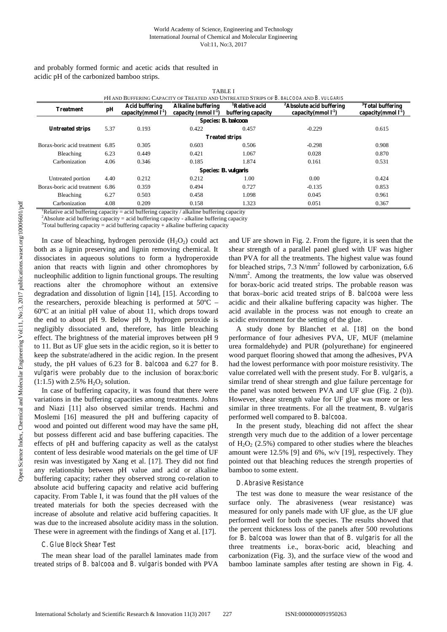## World Academy of Science, Engineering and Technology International Journal of Chemical and Molecular Engineering Vol:11, No:3, 2017

TABLE I PH AND BUFFERING CAPACITY OF TREATED AND UNTREATED STRIPS OF *B. BALCOOA* AND *B. VULGARIS* **Treatment pH Acid buffering capacity(mmol l-1) Alkaline buffering capacity (mmol l-1) <sup>1</sup>Relative acid buffering capacity <sup>2</sup>Absolute acid buffering capacity(mmol l-1) <sup>3</sup>Total buffering capacity(mmol l-1) Species***: B. balcooa* **Untreated strips** 5.37 0.193 0.422 0.457 -0.229 0.615 **Treated strips** Borax-boric acid treatment 6.85 0.305 0.603 0.506 0.298 0.908 Bleaching 6.23 0.449 0.421 1.067 0.028 0.870 Carbonization 4.06 0.346 0.185 1.874 0.161 0.531 **Species:** *B. vulgaris* Untreated portion 4.40 0.212 0.212 1.00 0.00 0.424 Borax-boric acid treatment 6.86 0.359 0.494 0.727 -0.135 0.853

Bleaching 6.27 0.503 0.458 1.098 0.045 0.961 Carbonization 4.08 0.209 0.158 1.323 0.051 0.367

and probably formed formic and acetic acids that resulted in acidic pH of the carbonized bamboo strips.

<sup>1</sup>Relative acid buffering capacity = acid buffering capacity / alkaline buffering capacity

<sup>2</sup>Absolute acid buffering capacity = acid buffering capacity - alkaline buffering capacity

 $3$ Total buffering capacity = acid buffering capacity + alkaline buffering capacity

In case of bleaching, hydrogen peroxide  $(H_2O_2)$  could act both as a lignin preserving and lignin removing chemical. It dissociates in aqueous solutions to form a hydroperoxide anion that reacts with lignin and other chromophores by nucleophilic addition to lignin functional groups. The resulting reactions alter the chromophore without an extensive degradation and dissolution of lignin [14], [15]. According to the researchers, peroxide bleaching is performed at  $50^{\circ}$ C – 60ºC at an initial pH value of about 11, which drops toward the end to about pH 9. Below pH 9, hydrogen peroxide is negligibly dissociated and, therefore, has little bleaching effect. The brightness of the material improves between pH 9 to 11. But as UF glue sets in the acidic region, so it is better to keep the substrate/adhered in the acidic region. In the present study, the pH values of 6.23 for *B. balcooa* and 6.27 for *B. vulgaris* were probably due to the inclusion of borax:boric  $(1:1.5)$  with 2.5%  $H<sub>2</sub>O<sub>2</sub>$  solution.

In case of buffering capacity, it was found that there were variations in the buffering capacities among treatments. Johns and Niazi [11] also observed similar trends. Hachmi and Moslemi [16] measured the pH and buffering capacity of wood and pointed out different wood may have the same pH, but possess different acid and base buffering capacities. The effects of pH and buffering capacity as well as the catalyst content of less desirable wood materials on the gel time of UF resin was investigated by Xang et al. [17]. They did not find any relationship between pH value and acid or alkaline buffering capacity; rather they observed strong co-relation to absolute acid buffering capacity and relative acid buffering capacity. From Table I, it was found that the pH values of the treated materials for both the species decreased with the increase of absolute and relative acid buffering capacities. It was due to the increased absolute acidity mass in the solution. These were in agreement with the findings of Xang et al. [17].

# *C. Glue Block Shear Test*

The mean shear load of the parallel laminates made from treated strips of *B. balcooa* and *B. vulgaris* bonded with PVA

and UF are shown in Fig.2. From the figure, it is seen that the shear strength of a parallel panel glued with UF was higher than PVA for all the treatments. The highest value was found for bleached strips,  $7.3$  N/mm<sup>2</sup> followed by carbonization,  $6.6$ N/mm<sup>2</sup>. Among the treatments, the low value was observed for borax-boric acid treated strips. The probable reason was that borax–boric acid treated strips of *B. balcooa* were less acidic and their alkaline buffering capacity was higher. The acid available in the process was not enough to create an acidic environment for the setting of the glue.

A study done by Blanchet et al. [18] on the bond performance of four adhesives PVA, UF, MUF (melamine urea formaldehyde) and PUR (polyurethane) for engineered wood parquet flooring showed that among the adhesives, PVA had the lowest performance with poor moisture resistivity. The value correlated well with the present study. For *B. vulgaris*, a similar trend of shear strength and glue failure percentage for the panel was noted between PVA and UF glue (Fig. 2 (b)). However, shear strength value for UF glue was more or less similar in three treatments. For all the treatment, *B. vulgaris* performed well compared to *B. balcooa*.

In the present study, bleaching did not affect the shear strength very much due to the addition of a lower percentage of  $H_2O_2$  (2.5%) compared to other studies where the bleaches amount were 12.5% [9] and 6%, w/v [19], respectively. They pointed out that bleaching reduces the strength properties of bamboo to some extent.

## *D.Abrasive Resistance*

The test was done to measure the wear resistance of the surface only. The abrasiveness (wear resistance) was measured for only panels made with UF glue, as the UF glue performed well for both the species. The results showed that the percent thickness loss of the panels after 500 revolutions for *B. balcooa* was lower than that of *B. vulgaris* for all the three treatments i.e., borax-boric acid, bleaching and carbonization (Fig. 3), and the surface view of the wood and bamboo laminate samples after testing are shown in Fig. 4*.*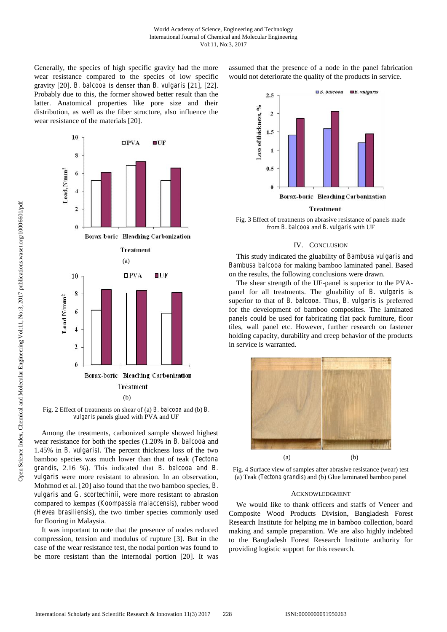Generally, the species of high specific gravity had the more wear resistance compared to the species of low specific gravity [20]. *B. balcooa* is denser than *B. vulgaris* [21], [22]. Probably due to this, the former showed better result than the latter. Anatomical properties like pore size and their distribution, as well as the fiber structure, also influence the wear resistance of the materials [20].

> 10  $\square$ PVA  $U$ F 8 Load, N/mm<sup>2</sup> 6  $\overline{4}$  $\overline{2}$  $\bf{0}$ Borax-boric Bleaching Carbonization **Treatment** (a) 10 **OPVA** ∎∪F 8 Load N/mm<sup>2</sup> 6  $\overline{4}$  $\overline{\mathbf{c}}$  $\overline{0}$ Borax-boric Bleaching Carbonization **Treatment**  $(b)$

Fig. 2 Effect of treatments on shear of (a) *B. balcooa* and (b) *B. vulgaris* panels glued with PVA and UF

Among the treatments, carbonized sample showed highest wear resistance for both the species (1.20% in *B. balcooa* and 1.45% in *B. vulgaris).* The percent thickness loss of the two bamboo species was much lower than that of teak (*Tectona grandis,* 2.16 %). This indicated that *B. balcooa and B. vulgaris* were more resistant to abrasion. In an observation, Mohmod et al. [20] also found that the two bamboo species, *B. vulgaris* and *G. scortechinii*, were more resistant to abrasion compared to kempas (*Koompassia malaccensis*), rubber wood (*Hevea brasiliensis*), the two timber species commonly used for flooring in Malaysia.

It was important to note that the presence of nodes reduced compression, tension and modulus of rupture [3]. But in the case of the wear resistance test, the nodal portion was found to be more resistant than the internodal portion [20]. It was assumed that the presence of a node in the panel fabrication would not deteriorate the quality of the products in service.



# **Treatment**

Fig. 3 Effect of treatments on abrasive resistance of panels made from *B. balcooa* and *B. vulgaris* with UF

# IV. CONCLUSION

This study indicated the gluability of *Bambusa vulgaris* and *Bambusa balcooa* for making bamboo laminated panel. Based on the results, the following conclusions were drawn.

The shear strength of the UF-panel is superior to the PVA panel for all treatments. The gluability of *B. vulgaris* is superior to that of *B. balcooa*. Thus, *B. vulgaris* is preferred for the development of bamboo composites. The laminated panels could be used for fabricating flat pack furniture, floor tiles, wall panel etc. However, further research on fastener holding capacity, durability and creep behavior of the products in service is warranted.



Fig. 4 Surface view of samples after abrasive resistance (wear) test (a) Teak (*Tectona grandis*) and (b) Glue laminated bamboo panel

## ACKNOWLEDGMENT

We would like to thank officers and staffs of Veneer and Composite Wood Products Division, Bangladesh Forest Research Institute for helping me in bamboo collection, board making and sample preparation. We are also highly indebted to the Bangladesh Forest Research Institute authority for providing logistic support for this research.